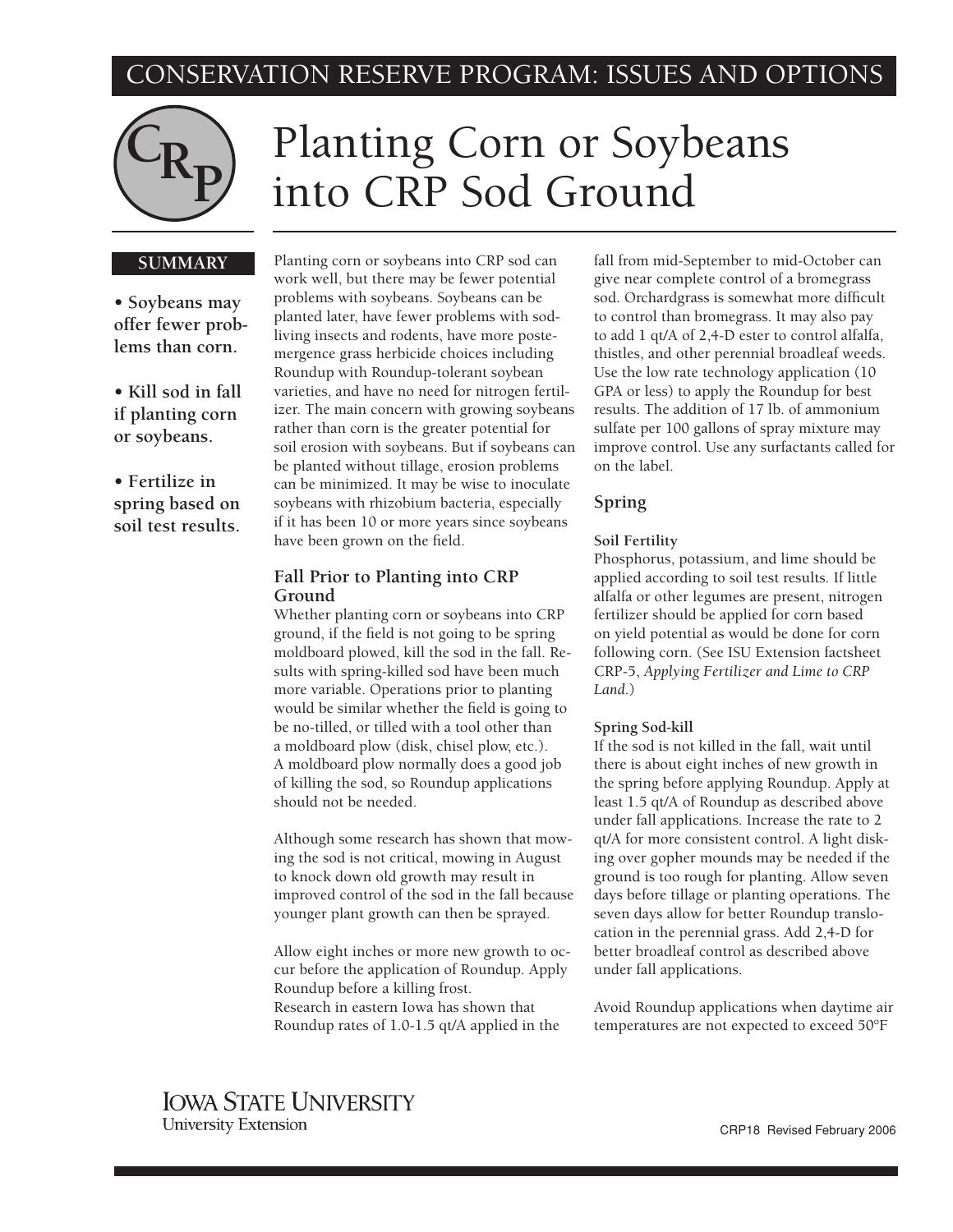# CONSERVATION RESERVE PROGRAM: ISSUES AND OPTIONS



# Planting Corn or Soybeans into CRP Sod Ground

#### **SUMMARY**

**• Soybeans may offer fewer problems than corn.**

**• Kill sod in fall if planting corn or soybeans.**

## **• Fertilize in spring based on soil test results.**

Planting corn or soybeans into CRP sod can work well, but there may be fewer potential problems with soybeans. Soybeans can be planted later, have fewer problems with sodliving insects and rodents, have more postemergence grass herbicide choices including Roundup with Roundup-tolerant soybean varieties, and have no need for nitrogen fertilizer. The main concern with growing soybeans rather than corn is the greater potential for soil erosion with soybeans. But if soybeans can be planted without tillage, erosion problems can be minimized. It may be wise to inoculate soybeans with rhizobium bacteria, especially if it has been 10 or more years since soybeans have been grown on the field.

#### **Fall Prior to Planting into CRP Ground**

Whether planting corn or soybeans into CRP ground, if the field is not going to be spring moldboard plowed, kill the sod in the fall. Results with spring-killed sod have been much more variable. Operations prior to planting would be similar whether the field is going to be no-tilled, or tilled with a tool other than a moldboard plow (disk, chisel plow, etc.). A moldboard plow normally does a good job of killing the sod, so Roundup applications should not be needed.

Although some research has shown that mowing the sod is not critical, mowing in August to knock down old growth may result in improved control of the sod in the fall because younger plant growth can then be sprayed.

Allow eight inches or more new growth to occur before the application of Roundup. Apply Roundup before a killing frost. Research in eastern Iowa has shown that Roundup rates of 1.0-1.5 qt/A applied in the

fall from mid-September to mid-October can give near complete control of a bromegrass sod. Orchardgrass is somewhat more difficult to control than bromegrass. It may also pay to add 1 qt/A of 2,4-D ester to control alfalfa, thistles, and other perennial broadleaf weeds. Use the low rate technology application (10 GPA or less) to apply the Roundup for best results. The addition of 17 lb. of ammonium sulfate per 100 gallons of spray mixture may improve control. Use any surfactants called for on the label.

#### **Spring**

#### **Soil Fertility**

Phosphorus, potassium, and lime should be applied according to soil test results. If little alfalfa or other legumes are present, nitrogen fertilizer should be applied for corn based on yield potential as would be done for corn following corn. (See ISU Extension factsheet CRP-5, *Applying Fertilizer and Lime to CRP Land*.)

#### **Spring Sod-kill**

If the sod is not killed in the fall, wait until there is about eight inches of new growth in the spring before applying Roundup. Apply at least 1.5 qt/A of Roundup as described above under fall applications. Increase the rate to 2 qt/A for more consistent control. A light disking over gopher mounds may be needed if the ground is too rough for planting. Allow seven days before tillage or planting operations. The seven days allow for better Roundup translocation in the perennial grass. Add 2,4-D for better broadleaf control as described above under fall applications.

Avoid Roundup applications when daytime air temperatures are not expected to exceed 50°F

## **IOWA STATE UNIVERSITY University Extension**